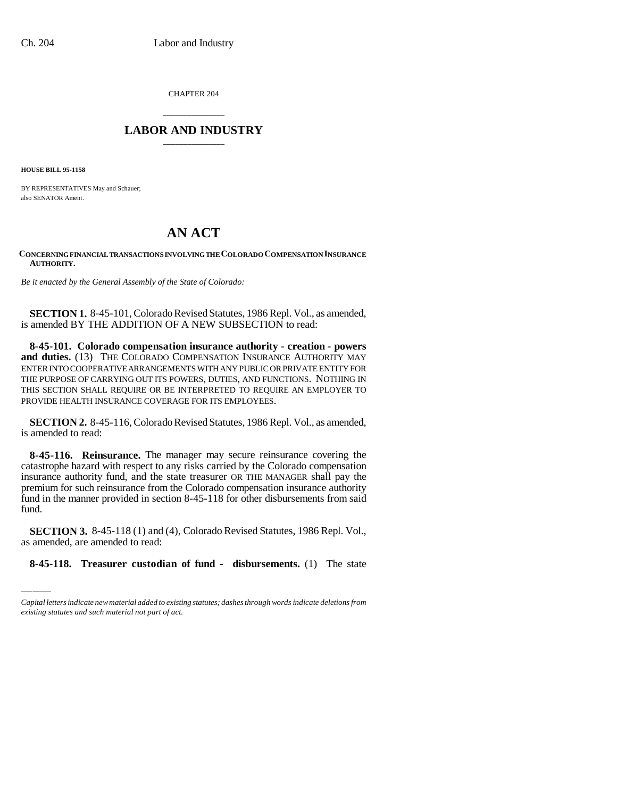CHAPTER 204

## \_\_\_\_\_\_\_\_\_\_\_\_\_\_\_ **LABOR AND INDUSTRY** \_\_\_\_\_\_\_\_\_\_\_\_\_\_\_

**HOUSE BILL 95-1158**

BY REPRESENTATIVES May and Schauer; also SENATOR Ament.

## **AN ACT**

## **CONCERNING FINANCIAL TRANSACTIONS INVOLVING THE COLORADO COMPENSATION INSURANCE AUTHORITY.**

*Be it enacted by the General Assembly of the State of Colorado:*

**SECTION 1.** 8-45-101, Colorado Revised Statutes, 1986 Repl. Vol., as amended, is amended BY THE ADDITION OF A NEW SUBSECTION to read:

**8-45-101. Colorado compensation insurance authority - creation - powers** and duties. (13) THE COLORADO COMPENSATION INSURANCE AUTHORITY MAY ENTER INTO COOPERATIVE ARRANGEMENTS WITH ANY PUBLIC OR PRIVATE ENTITY FOR THE PURPOSE OF CARRYING OUT ITS POWERS, DUTIES, AND FUNCTIONS. NOTHING IN THIS SECTION SHALL REQUIRE OR BE INTERPRETED TO REQUIRE AN EMPLOYER TO PROVIDE HEALTH INSURANCE COVERAGE FOR ITS EMPLOYEES.

**SECTION 2.** 8-45-116, Colorado Revised Statutes, 1986 Repl. Vol., as amended, is amended to read:

fund. **8-45-116. Reinsurance.** The manager may secure reinsurance covering the catastrophe hazard with respect to any risks carried by the Colorado compensation insurance authority fund, and the state treasurer OR THE MANAGER shall pay the premium for such reinsurance from the Colorado compensation insurance authority fund in the manner provided in section 8-45-118 for other disbursements from said

**SECTION 3.** 8-45-118 (1) and (4), Colorado Revised Statutes, 1986 Repl. Vol., as amended, are amended to read:

**8-45-118. Treasurer custodian of fund - disbursements.** (1) The state

*Capital letters indicate new material added to existing statutes; dashes through words indicate deletions from existing statutes and such material not part of act.*